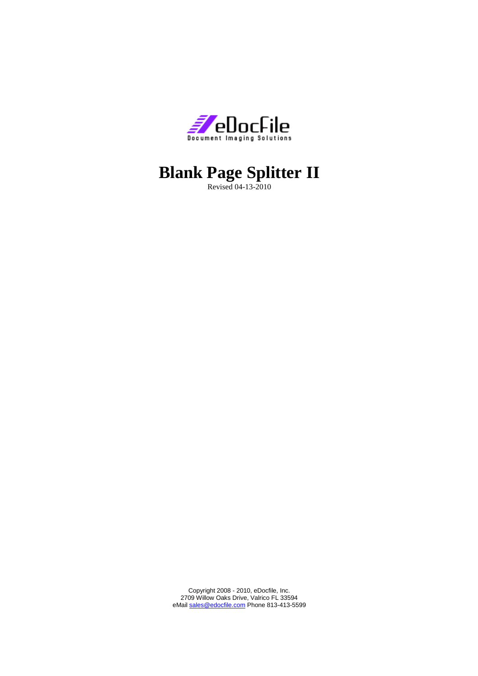

# **Blank Page Splitter II**

Revised 04-13-2010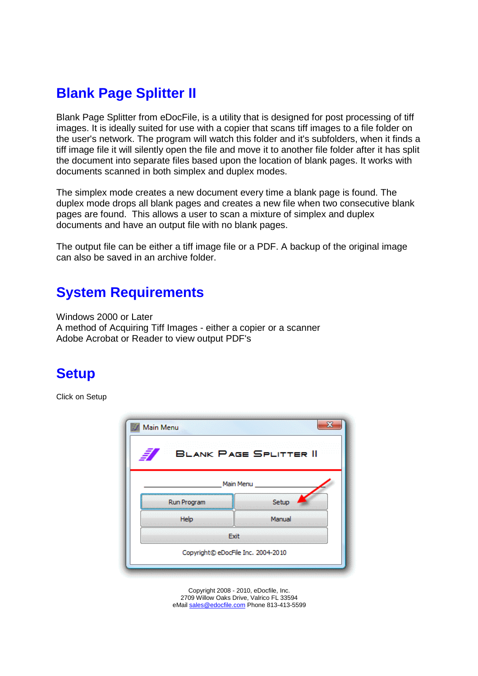## **Blank Page Splitter II**

Blank Page Splitter from eDocFile, is a utility that is designed for post processing of tiff images. It is ideally suited for use with a copier that scans tiff images to a file folder on the user's network. The program will watch this folder and it's subfolders, when it finds a tiff image file it will silently open the file and move it to another file folder after it has split the document into separate files based upon the location of blank pages. It works with documents scanned in both simplex and duplex modes.

The simplex mode creates a new document every time a blank page is found. The duplex mode drops all blank pages and creates a new file when two consecutive blank pages are found. This allows a user to scan a mixture of simplex and duplex documents and have an output file with no blank pages.

The output file can be either a tiff image file or a PDF. A backup of the original image can also be saved in an archive folder.

#### **System Requirements**

Windows 2000 or Later A method of Acquiring Tiff Images - either a copier or a scanner Adobe Acrobat or Reader to view output PDF's

### **Setup**

Click on Setup

| Main Menu                          |                               |
|------------------------------------|-------------------------------|
|                                    | <b>BLANK PAGE SPLITTER II</b> |
|                                    | Main Menu                     |
| Run Program                        | Setup                         |
| Help                               | Manual                        |
| Exit                               |                               |
| Copyright© eDocFile Inc. 2004-2010 |                               |
|                                    |                               |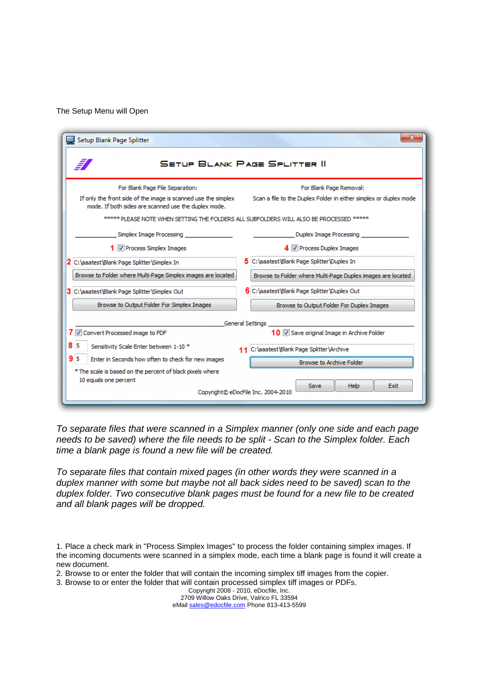#### The Setup Menu will Open

| a,                                                                                                                     | <b>SETUP BLANK PAGE SPLITTER II</b>                               |
|------------------------------------------------------------------------------------------------------------------------|-------------------------------------------------------------------|
| For Blank Page File Separation:                                                                                        | For Blank Page Removal:                                           |
| If only the front side of the image is scanned use the simplex<br>mode. If both sides are scanned use the duplex mode. | Scan a file to the Duplex Folder in either simplex or duplex mode |
| ***** PLEASE NOTE WHEN SETTING THE FOLDERS ALL SUBFOLDERS WILL ALSO BE PROCESSED                                       |                                                                   |
| Simplex Image Processing                                                                                               | Duplex Image Processing                                           |
| 1 V Process Simplex Images                                                                                             | 4 V Process Duplex Images                                         |
| 2 C: \aaatest \Blank Page Splitter \Simplex In                                                                         | 5 C: \aaatest\Blank Page Splitter\Duplex In                       |
| Browse to Folder where Multi-Page Simplex images are located                                                           | Browse to Folder where Multi-Page Duplex images are located       |
| 3 C: \aaatest\Blank Page Splitter\Simplex Out                                                                          | 6 C: \aaatest\Blank Page Splitter\Duplex Out                      |
| Browse to Output Folder For Simplex Images                                                                             | Browse to Output Folder For Duplex Images                         |
|                                                                                                                        | <b>General Settings</b>                                           |
| 7 V Convert Processed image to PDF                                                                                     | 10 V Save original Image in Archive Folder                        |
| 8<br>5<br>Sensitivity Scale Enter between 1-10 *                                                                       | C: \aaatest\Blank Page Splitter \Archive                          |
| 95<br>Enter in Seconds how often to check for new images                                                               | <b>Browse to Archive Folder</b>                                   |
| * The scale is based on the percent of black pixels where                                                              |                                                                   |
| 10 equals one percent                                                                                                  | Save<br>Help<br>Exit                                              |

To separate files that were scanned in a Simplex manner (only one side and each page needs to be saved) where the file needs to be split - Scan to the Simplex folder. Each time a blank page is found a new file will be created.

To separate files that contain mixed pages (in other words they were scanned in a duplex manner with some but maybe not all back sides need to be saved) scan to the duplex folder. Two consecutive blank pages must be found for a new file to be created and all blank pages will be dropped.

1. Place a check mark in "Process Simplex Images" to process the folder containing simplex images. If the incoming documents were scanned in a simplex mode, each time a blank page is found it will create a new document.

2. Browse to or enter the folder that will contain the incoming simplex tiff images from the copier.

3. Browse to or enter the folder that will contain processed simplex tiff images or PDFs.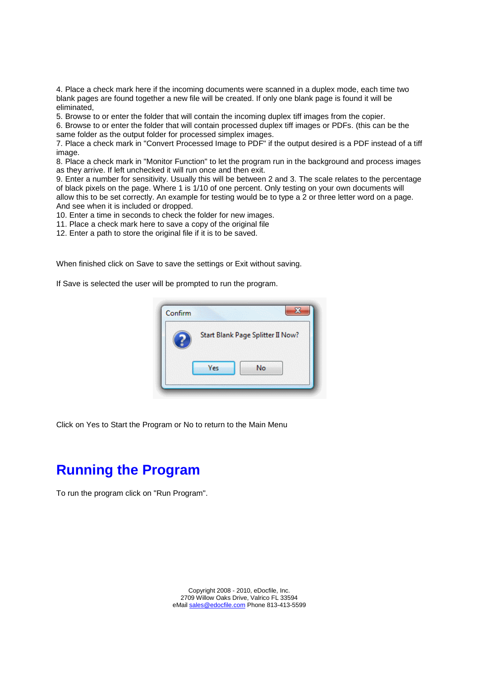4. Place a check mark here if the incoming documents were scanned in a duplex mode, each time two blank pages are found together a new file will be created. If only one blank page is found it will be eliminated,

5. Browse to or enter the folder that will contain the incoming duplex tiff images from the copier.

6. Browse to or enter the folder that will contain processed duplex tiff images or PDFs. (this can be the same folder as the output folder for processed simplex images.

7. Place a check mark in "Convert Processed Image to PDF" if the output desired is a PDF instead of a tiff image.

8. Place a check mark in "Monitor Function" to let the program run in the background and process images as they arrive. If left unchecked it will run once and then exit.

9. Enter a number for sensitivity. Usually this will be between 2 and 3. The scale relates to the percentage of black pixels on the page. Where 1 is 1/10 of one percent. Only testing on your own documents will allow this to be set correctly. An example for testing would be to type a 2 or three letter word on a page. And see when it is included or dropped.

10. Enter a time in seconds to check the folder for new images.

11. Place a check mark here to save a copy of the original file

12. Enter a path to store the original file if it is to be saved.

When finished click on Save to save the settings or Exit without saving.

If Save is selected the user will be prompted to run the program.



Click on Yes to Start the Program or No to return to the Main Menu

#### **Running the Program**

To run the program click on "Run Program".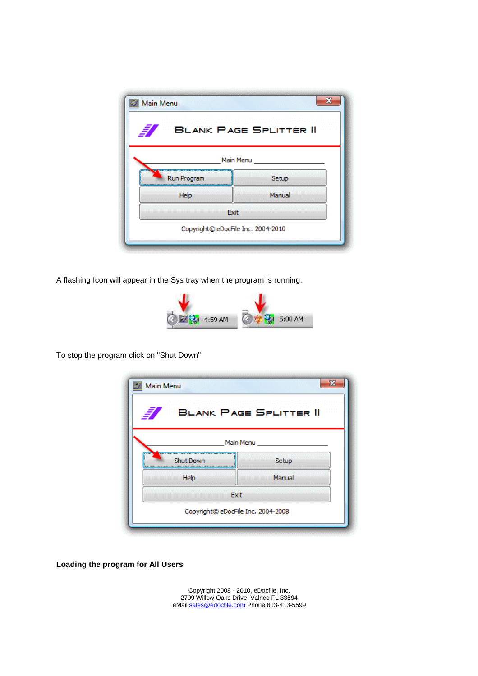|             | <b>BLANK PAGE SPLITTER II</b> |
|-------------|-------------------------------|
|             | Main Menu                     |
| Run Program | Setup                         |
| Help        | Manual                        |
|             | Exit                          |

A flashing Icon will appear in the Sys tray when the program is running.



To stop the program click on "Shut Down"

|                                    | <b>BLANK PAGE SPLITTER II</b> |
|------------------------------------|-------------------------------|
|                                    | Main Menu                     |
| <b>Shut Down</b>                   | Setup                         |
| Help                               | Manual                        |
| Exit                               |                               |
| Copyright© eDocFile Inc. 2004-2008 |                               |

**Loading the program for All Users**